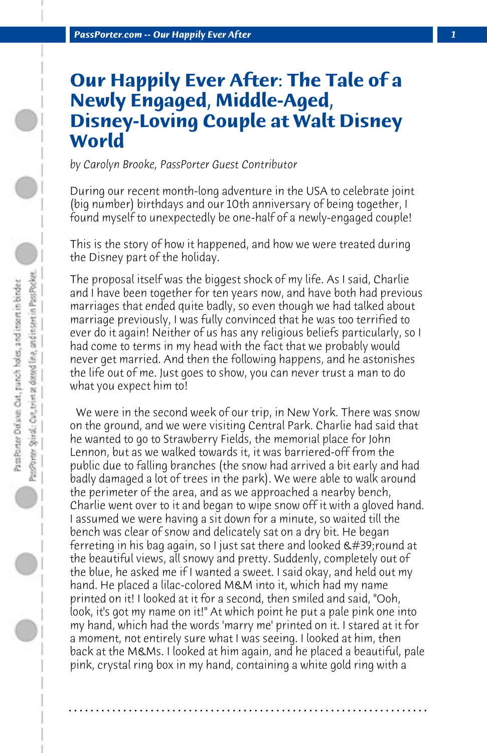## **Our Happily Ever After: The Tale of a Newly Engaged, Middle-Aged, Disney-Loving Couple at Walt Disney World**

*by Carolyn Brooke, PassPorter Guest Contributor*

During our recent month-long adventure in the USA to celebrate joint (big number) birthdays and our 10th anniversary of being together, I found myself to unexpectedly be one-half of a newly-engaged couple!

This is the story of how it happened, and how we were treated during the Disney part of the holiday.

The proposal itself was the biggest shock of my life. As I said, Charlie and I have been together for ten years now, and have both had previous marriages that ended quite badly, so even though we had talked about marriage previously, I was fully convinced that he was too terrified to ever do it again! Neither of us has any religious beliefs particularly, so I had come to terms in my head with the fact that we probably would never get married. And then the following happens, and he astonishes the life out of me. Just goes to show, you can never trust a man to do what you expect him to!

 We were in the second week of our trip, in New York. There was snow on the ground, and we were visiting Central Park. Charlie had said that he wanted to go to Strawberry Fields, the memorial place for John Lennon, but as we walked towards it, it was barriered-off from the public due to falling branches (the snow had arrived a bit early and had badly damaged a lot of trees in the park). We were able to walk around the perimeter of the area, and as we approached a nearby bench, Charlie went over to it and began to wipe snow off it with a gloved hand. I assumed we were having a sit down for a minute, so waited till the bench was clear of snow and delicately sat on a dry bit. He began ferreting in his bag again, so I just sat there and looked 'round at the beautiful views, all snowy and pretty. Suddenly, completely out of the blue, he asked me if I wanted a sweet. I said okay, and held out my hand. He placed a lilac-colored M&M into it, which had my name printed on it! I looked at it for a second, then smiled and said, "Ooh, look, it's got my name on it!" At which point he put a pale pink one into my hand, which had the words 'marry me' printed on it. I stared at it for a moment, not entirely sure what I was seeing. I looked at him, then back at the M&Ms. I looked at him again, and he placed a beautiful, pale pink, crystal ring box in my hand, containing a white gold ring with a

**. . . . . . . . . . . . . . . . . . . . . . . . . . . . . . . . . . . . . . . . . . . . . . . . . . . . . . . . . . . . . . . . . .**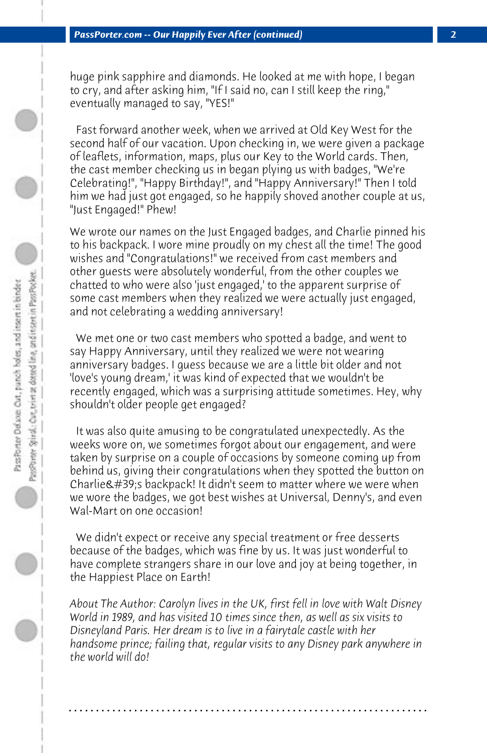huge pink sapphire and diamonds. He looked at me with hope, I began to cry, and after asking him, "If I said no, can I still keep the ring," eventually managed to say, "YES!"

 Fast forward another week, when we arrived at Old Key West for the second half of our vacation. Upon checking in, we were given a package of leaflets, information, maps, plus our Key to the World cards. Then, the cast member checking us in began plying us with badges, "We're Celebrating!", "Happy Birthday!", and "Happy Anniversary!" Then I told him we had just got engaged, so he happily shoved another couple at us, "Just Engaged!" Phew!

We wrote our names on the Just Engaged badges, and Charlie pinned his to his backpack. I wore mine proudly on my chest all the time! The good wishes and "Congratulations!" we received from cast members and other guests were absolutely wonderful, from the other couples we chatted to who were also 'just engaged,' to the apparent surprise of some cast members when they realized we were actually just engaged, and not celebrating a wedding anniversary!

 We met one or two cast members who spotted a badge, and went to say Happy Anniversary, until they realized we were not wearing anniversary badges. I guess because we are a little bit older and not 'love's young dream,' it was kind of expected that we wouldn't be recently engaged, which was a surprising attitude sometimes. Hey, why shouldn't older people get engaged?

 It was also quite amusing to be congratulated unexpectedly. As the weeks wore on, we sometimes forgot about our engagement, and were taken by surprise on a couple of occasions by someone coming up from behind us, giving their congratulations when they spotted the button on Charlie  $\&\#39$ ; s backpack! It didn't seem to matter where we were when we wore the badges, we got best wishes at Universal, Denny's, and even Wal-Mart on one occasion!

 We didn't expect or receive any special treatment or free desserts because of the badges, which was fine by us. It was just wonderful to have complete strangers share in our love and joy at being together, in the Happiest Place on Earth!

*About The Author: Carolyn lives in the UK, first fell in love with Walt Disney World in 1989, and has visited 10 times since then, as well as six visits to Disneyland Paris. Her dream is to live in a fairytale castle with her handsome prince; failing that, regular visits to any Disney park anywhere in the world will do!*

**. . . . . . . . . . . . . . . . . . . . . . . . . . . . . . . . . . . . . . . . . . . . . . . . . . . . . . . . . . . . . . . . . .**